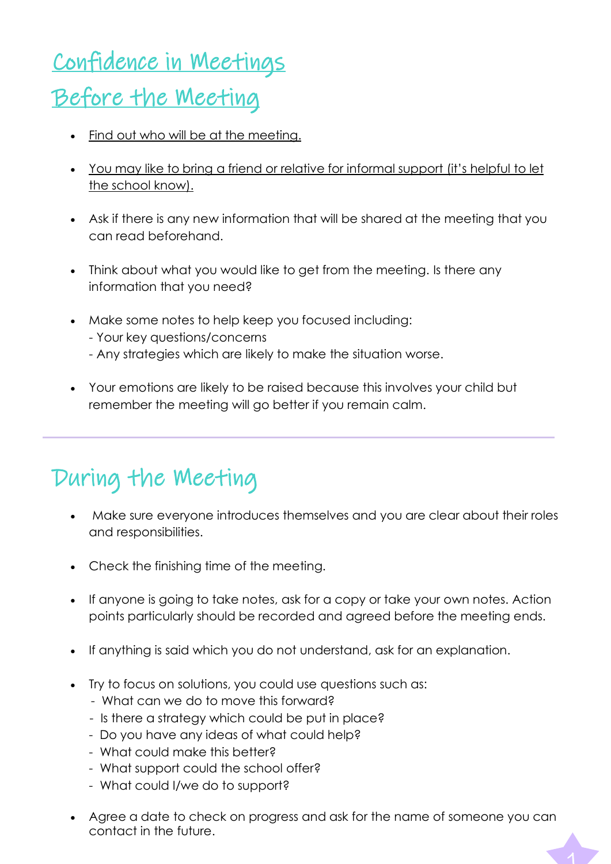# Confidence in Meetings

### Before the Meeting

- Find out who will be at the meeting.
- You may like to bring a friend or relative for informal support (it's helpful to let the school know).
- Ask if there is any new information that will be shared at the meeting that you can read beforehand.
- Think about what you would like to get from the meeting. Is there any information that you need?
- Make some notes to help keep you focused including: - Your key questions/concerns
	- Any strategies which are likely to make the situation worse.
- Your emotions are likely to be raised because this involves your child but remember the meeting will go better if you remain calm.

## During the Meeting

- Make sure everyone introduces themselves and you are clear about their roles and responsibilities.
- Check the finishing time of the meeting.
- If anyone is going to take notes, ask for a copy or take your own notes. Action points particularly should be recorded and agreed before the meeting ends.
- If anything is said which you do not understand, ask for an explanation.
- Try to focus on solutions, you could use questions such as:
	- What can we do to move this forward?
	- Is there a strategy which could be put in place?
	- Do you have any ideas of what could help?
	- What could make this better?
	- What support could the school offer?
	- What could I/we do to support?
- Agree a date to check on progress and ask for the name of someone you can contact in the future.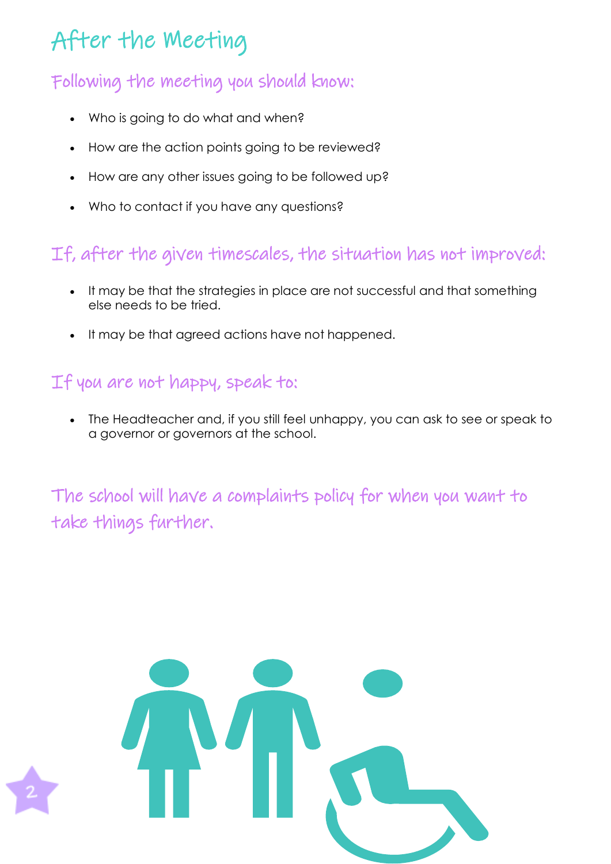### After the Meeting

### Following the meeting you should know:

- Who is going to do what and when?
- How are the action points going to be reviewed?
- How are any other issues going to be followed up?
- Who to contact if you have any questions?

### If, after the given timescales, the situation has not improved:

- It may be that the strategies in place are not successful and that something else needs to be tried.
- It may be that agreed actions have not happened.

#### If you are not happy, speak to:

• The Headteacher and, if you still feel unhappy, you can ask to see or speak to a governor or governors at the school.

The school will have a complaints policy for when you want to take things further.